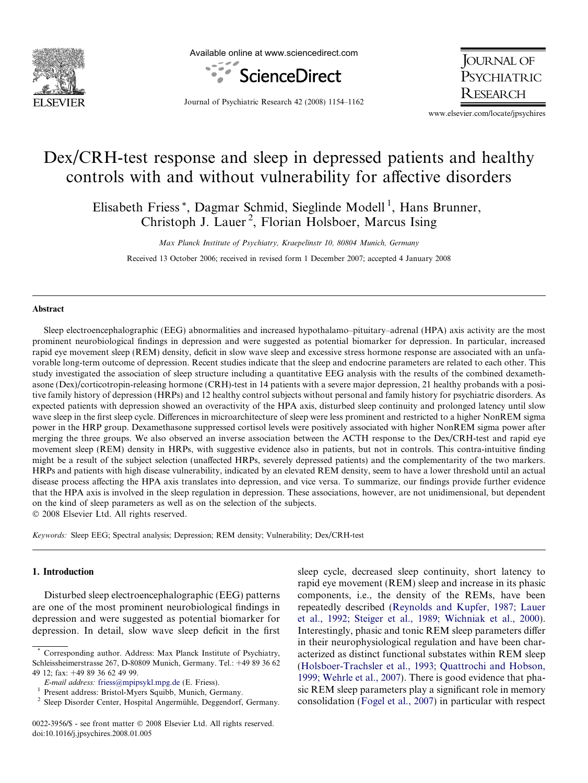

Available online at www.sciencedirect.com



JOURNAL OF **PSYCHIATRIC** RESEARCH

Journal of Psychiatric Research 42 (2008) 1154–1162

www.elsevier.com/locate/jpsychires

# Dex/CRH-test response and sleep in depressed patients and healthy controls with and without vulnerability for affective disorders

Elisabeth Friess<sup>\*</sup>, Dagmar Schmid, Sieglinde Modell<sup>1</sup>, Hans Brunner, Christoph J. Lauer<sup>2</sup>, Florian Holsboer, Marcus Ising

Max Planck Institute of Psychiatry, Kraepelinstr 10, 80804 Munich, Germany

Received 13 October 2006; received in revised form 1 December 2007; accepted 4 January 2008

#### Abstract

Sleep electroencephalographic (EEG) abnormalities and increased hypothalamo–pituitary–adrenal (HPA) axis activity are the most prominent neurobiological findings in depression and were suggested as potential biomarker for depression. In particular, increased rapid eye movement sleep (REM) density, deficit in slow wave sleep and excessive stress hormone response are associated with an unfavorable long-term outcome of depression. Recent studies indicate that the sleep and endocrine parameters are related to each other. This study investigated the association of sleep structure including a quantitative EEG analysis with the results of the combined dexamethasone (Dex)/corticotropin-releasing hormone (CRH)-test in 14 patients with a severe major depression, 21 healthy probands with a positive family history of depression (HRPs) and 12 healthy control subjects without personal and family history for psychiatric disorders. As expected patients with depression showed an overactivity of the HPA axis, disturbed sleep continuity and prolonged latency until slow wave sleep in the first sleep cycle. Differences in microarchitecture of sleep were less prominent and restricted to a higher NonREM sigma power in the HRP group. Dexamethasone suppressed cortisol levels were positively associated with higher NonREM sigma power after merging the three groups. We also observed an inverse association between the ACTH response to the Dex/CRH-test and rapid eye movement sleep (REM) density in HRPs, with suggestive evidence also in patients, but not in controls. This contra-intuitive finding might be a result of the subject selection (unaffected HRPs, severely depressed patients) and the complementarity of the two markers. HRPs and patients with high disease vulnerability, indicated by an elevated REM density, seem to have a lower threshold until an actual disease process affecting the HPA axis translates into depression, and vice versa. To summarize, our findings provide further evidence that the HPA axis is involved in the sleep regulation in depression. These associations, however, are not unidimensional, but dependent on the kind of sleep parameters as well as on the selection of the subjects. - 2008 Elsevier Ltd. All rights reserved.

Keywords: Sleep EEG; Spectral analysis; Depression; REM density; Vulnerability; Dex/CRH-test

## 1. Introduction

Disturbed sleep electroencephalographic (EEG) patterns are one of the most prominent neurobiological findings in depression and were suggested as potential biomarker for depression. In detail, slow wave sleep deficit in the first sleep cycle, decreased sleep continuity, short latency to rapid eye movement (REM) sleep and increase in its phasic components, i.e., the density of the REMs, have been repeatedly described ([Reynolds and Kupfer, 1987; Lauer](#page--1-0) [et al., 1992; Steiger et al., 1989; Wichniak et al., 2000\)](#page--1-0). Interestingly, phasic and tonic REM sleep parameters differ in their neurophysiological regulation and have been characterized as distinct functional substates within REM sleep [\(Holsboer-Trachsler et al., 1993; Quattrochi and Hobson,](#page--1-0) [1999; Wehrle et al., 2007\)](#page--1-0). There is good evidence that phasic REM sleep parameters play a significant role in memory consolidation ([Fogel et al., 2007](#page--1-0)) in particular with respect

Corresponding author. Address: Max Planck Institute of Psychiatry, Schleissheimerstrasse 267, D-80809 Munich, Germany. Tel.: +49 89 36 62 49 12; fax: +49 89 36 62 49 99.

E-mail address: [friess@mpipsykl.mpg.de](mailto:friess@mpipsykl.mpg.de) (E. Friess).<br><sup>1</sup> Present address: Bristol-Myers Squibb, Munich, Germany.<br><sup>2</sup> Sleep Disorder Center, Hospital Angermühle, Deggendorf, Germany.

<sup>0022-3956/\$ -</sup> see front matter © 2008 Elsevier Ltd. All rights reserved. doi:10.1016/j.jpsychires.2008.01.005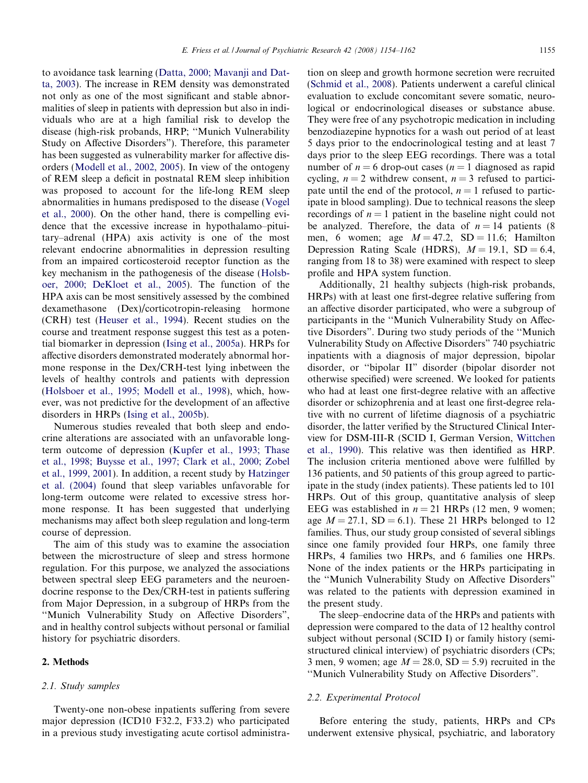to avoidance task learning ([Datta, 2000; Mavanji and Dat](#page--1-0)[ta, 2003\)](#page--1-0). The increase in REM density was demonstrated not only as one of the most significant and stable abnormalities of sleep in patients with depression but also in individuals who are at a high familial risk to develop the disease (high-risk probands, HRP; ''Munich Vulnerability Study on Affective Disorders"). Therefore, this parameter has been suggested as vulnerability marker for affective disorders ([Modell et al., 2002, 2005](#page--1-0)). In view of the ontogeny of REM sleep a deficit in postnatal REM sleep inhibition was proposed to account for the life-long REM sleep abnormalities in humans predisposed to the disease ([Vogel](#page--1-0) [et al., 2000\)](#page--1-0). On the other hand, there is compelling evidence that the excessive increase in hypothalamo–pituitary–adrenal (HPA) axis activity is one of the most relevant endocrine abnormalities in depression resulting from an impaired corticosteroid receptor function as the key mechanism in the pathogenesis of the disease [\(Holsb](#page--1-0)[oer, 2000; DeKloet et al., 2005](#page--1-0)). The function of the HPA axis can be most sensitively assessed by the combined dexamethasone (Dex)/corticotropin-releasing hormone (CRH) test [\(Heuser et al., 1994](#page--1-0)). Recent studies on the course and treatment response suggest this test as a potential biomarker in depression [\(Ising et al., 2005a](#page--1-0)). HRPs for affective disorders demonstrated moderately abnormal hormone response in the Dex/CRH-test lying inbetween the levels of healthy controls and patients with depression ([Holsboer et al., 1995; Modell et al., 1998\)](#page--1-0), which, however, was not predictive for the development of an affective disorders in HRPs ([Ising et al., 2005b\)](#page--1-0).

Numerous studies revealed that both sleep and endocrine alterations are associated with an unfavorable longterm outcome of depression [\(Kupfer et al., 1993; Thase](#page--1-0) [et al., 1998; Buysse et al., 1997; Clark et al., 2000; Zobel](#page--1-0) [et al., 1999, 2001](#page--1-0)). In addition, a recent study by [Hatzinger](#page--1-0) [et al. \(2004\)](#page--1-0) found that sleep variables unfavorable for long-term outcome were related to excessive stress hormone response. It has been suggested that underlying mechanisms may affect both sleep regulation and long-term course of depression.

The aim of this study was to examine the association between the microstructure of sleep and stress hormone regulation. For this purpose, we analyzed the associations between spectral sleep EEG parameters and the neuroendocrine response to the Dex/CRH-test in patients suffering from Major Depression, in a subgroup of HRPs from the ''Munich Vulnerability Study on Affective Disorders", and in healthy control subjects without personal or familial history for psychiatric disorders.

### 2. Methods

#### 2.1. Study samples

Twenty-one non-obese inpatients suffering from severe major depression (ICD10 F32.2, F33.2) who participated in a previous study investigating acute cortisol administration on sleep and growth hormone secretion were recruited ([Schmid et al., 2008](#page--1-0)). Patients underwent a careful clinical evaluation to exclude concomitant severe somatic, neurological or endocrinological diseases or substance abuse. They were free of any psychotropic medication in including benzodiazepine hypnotics for a wash out period of at least 5 days prior to the endocrinological testing and at least 7 days prior to the sleep EEG recordings. There was a total number of  $n = 6$  drop-out cases ( $n = 1$  diagnosed as rapid cycling,  $n = 2$  withdrew consent,  $n = 3$  refused to participate until the end of the protocol,  $n = 1$  refused to participate in blood sampling). Due to technical reasons the sleep recordings of  $n = 1$  patient in the baseline night could not be analyzed. Therefore, the data of  $n = 14$  patients (8) men, 6 women; age  $M = 47.2$ , SD = 11.6; Hamilton Depression Rating Scale (HDRS),  $M = 19.1$ , SD = 6.4, ranging from 18 to 38) were examined with respect to sleep profile and HPA system function.

Additionally, 21 healthy subjects (high-risk probands, HRPs) with at least one first-degree relative suffering from an affective disorder participated, who were a subgroup of participants in the ''Munich Vulnerability Study on Affective Disorders". During two study periods of the ''Munich Vulnerability Study on Affective Disorders" 740 psychiatric inpatients with a diagnosis of major depression, bipolar disorder, or ''bipolar II" disorder (bipolar disorder not otherwise specified) were screened. We looked for patients who had at least one first-degree relative with an affective disorder or schizophrenia and at least one first-degree relative with no current of lifetime diagnosis of a psychiatric disorder, the latter verified by the Structured Clinical Interview for DSM-III-R (SCID I, German Version, [Wittchen](#page--1-0) [et al., 1990\)](#page--1-0). This relative was then identified as HRP. The inclusion criteria mentioned above were fulfilled by 136 patients, and 50 patients of this group agreed to participate in the study (index patients). These patients led to 101 HRPs. Out of this group, quantitative analysis of sleep EEG was established in  $n = 21$  HRPs (12 men, 9 women; age  $M = 27.1$ , SD = 6.1). These 21 HRPs belonged to 12 families. Thus, our study group consisted of several siblings since one family provided four HRPs, one family three HRPs, 4 families two HRPs, and 6 families one HRPs. None of the index patients or the HRPs participating in the ''Munich Vulnerability Study on Affective Disorders" was related to the patients with depression examined in the present study.

The sleep–endocrine data of the HRPs and patients with depression were compared to the data of 12 healthy control subject without personal (SCID I) or family history (semistructured clinical interview) of psychiatric disorders (CPs; 3 men, 9 women; age  $M = 28.0$ , SD = 5.9) recruited in the ''Munich Vulnerability Study on Affective Disorders".

### 2.2. Experimental Protocol

Before entering the study, patients, HRPs and CPs underwent extensive physical, psychiatric, and laboratory